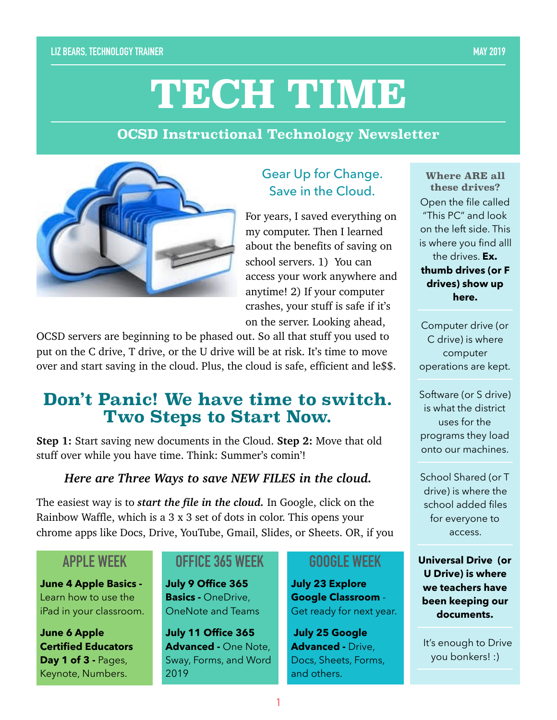# **TECH TIME**

#### **OCSD Instructional Technology Newsletter**



### Gear Up for Change. Save in the Cloud.

For years, I saved everything on my computer. Then I learned about the benefits of saving on school servers. 1) You can access your work anywhere and anytime! 2) If your computer crashes, your stuff is safe if it's on the server. Looking ahead,

OCSD servers are beginning to be phased out. So all that stuff you used to put on the C drive, T drive, or the U drive will be at risk. It's time to move over and start saving in the cloud. Plus, the cloud is safe, efficient and le\$\$.

## **Don't Panic! We have time to switch. Two Steps to Start Now.**

**Step 1:** Start saving new documents in the Cloud. **Step 2:** Move that old stuff over while you have time. Think: Summer's comin'!

#### *Here are Three Ways to save NEW FILES in the cloud.*

The easiest way is to *start the file in the cloud.* In Google, click on the Rainbow Waffle, which is a 3 x 3 set of dots in color. This opens your chrome apps like Docs, Drive, YouTube, Gmail, Slides, or Sheets. OR, if you

## **APPLE WEEK**

**June 4 Apple Basics -**  Learn how to use the iPad in your classroom.

**June 6 Apple Certified Educators Day 1 of 3 - Pages,** Keynote, Numbers.

#### **OFFICE 365 WEEK**

**July 9 Office 365 Basics -** OneDrive, OneNote and Teams

**July 11 Office 365 Advanced -** One Note, Sway, Forms, and Word 2019

#### **GOOGLE WEEK**

**July 23 Explore Google Classroom** - Get ready for next year.

**July 25 Google Advanced -** Drive, Docs, Sheets, Forms, and others.

**Where ARE all these drives?**  Open the file called "This PC" and look on the left side. This is where you find alll the drives. **Ex. thumb drives (or F drives) show up here.** 

Computer drive (or C drive) is where computer operations are kept.

Software (or S drive) is what the district uses for the programs they load onto our machines.

School Shared (or T drive) is where the school added files for everyone to access.

**Universal Drive (or U Drive) is where we teachers have been keeping our documents.** 

 It's enough to Drive you bonkers! :)